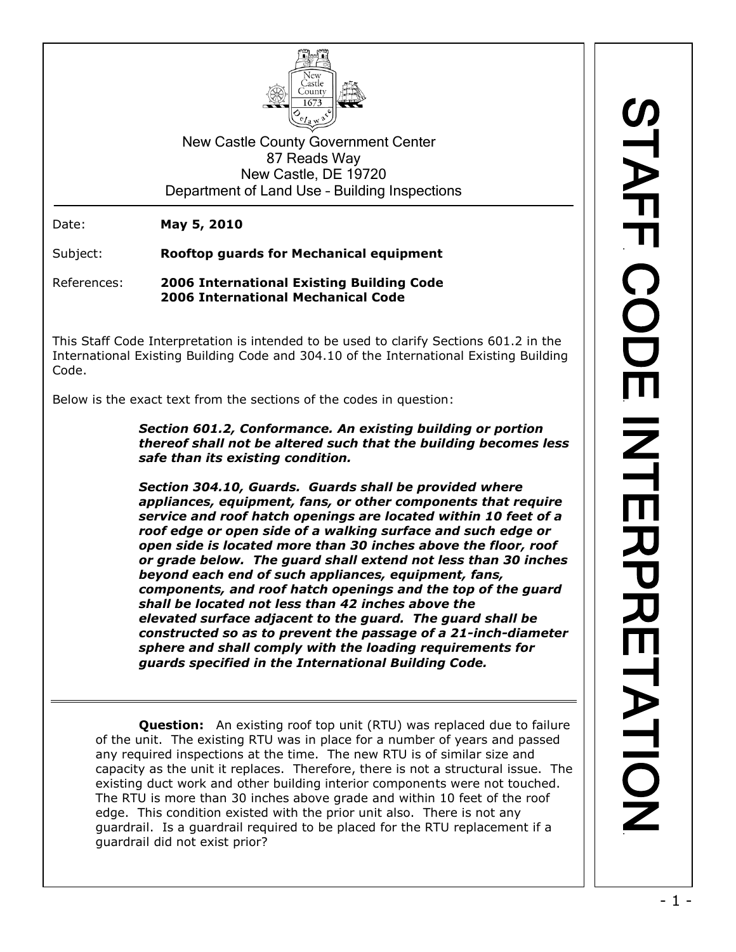

New Castle County Government Center 87 Reads Way New Castle, DE 19720 Department of Land Use – Building Inspections

Date: **May 5, 2010**

Subject: **Rooftop guards for Mechanical equipment**

References: **2006 International Existing Building Code 2006 International Mechanical Code**

This Staff Code Interpretation is intended to be used to clarify Sections 601.2 in the International Existing Building Code and 304.10 of the International Existing Building Code.

Below is the exact text from the sections of the codes in question:

*Section 601.2, Conformance. An existing building or portion thereof shall not be altered such that the building becomes less safe than its existing condition.*

*Section 304.10, Guards. Guards shall be provided where appliances, equipment, fans, or other components that require service and roof hatch openings are located within 10 feet of a roof edge or open side of a walking surface and such edge or open side is located more than 30 inches above the floor, roof or grade below. The guard shall extend not less than 30 inches beyond each end of such appliances, equipment, fans, components, and roof hatch openings and the top of the guard shall be located not less than 42 inches above the elevated surface adjacent to the guard. The guard shall be constructed so as to prevent the passage of a 21-inch-diameter sphere and shall comply with the loading requirements for guards specified in the International Building Code.*

**Question:** An existing roof top unit (RTU) was replaced due to failure of the unit. The existing RTU was in place for a number of years and passed any required inspections at the time. The new RTU is of similar size and capacity as the unit it replaces. Therefore, there is not a structural issue. The existing duct work and other building interior components were not touched. The RTU is more than 30 inches above grade and within 10 feet of the roof edge. This condition existed with the prior unit also. There is not any guardrail. Is a guardrail required to be placed for the RTU replacement if a guardrail did not exist prior?